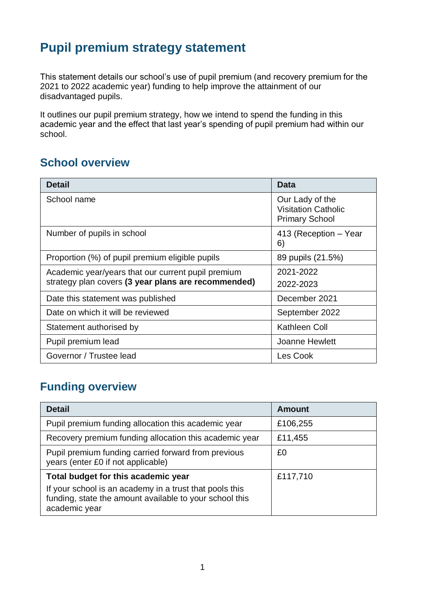# **Pupil premium strategy statement**

This statement details our school's use of pupil premium (and recovery premium for the 2021 to 2022 academic year) funding to help improve the attainment of our disadvantaged pupils.

It outlines our pupil premium strategy, how we intend to spend the funding in this academic year and the effect that last year's spending of pupil premium had within our school.

#### **School overview**

| <b>Detail</b>                                       | Data                                                                   |
|-----------------------------------------------------|------------------------------------------------------------------------|
| School name                                         | Our Lady of the<br><b>Visitation Catholic</b><br><b>Primary School</b> |
| Number of pupils in school                          | 413 (Reception – Year<br>6)                                            |
| Proportion (%) of pupil premium eligible pupils     | 89 pupils (21.5%)                                                      |
| Academic year/years that our current pupil premium  | 2021-2022                                                              |
| strategy plan covers (3 year plans are recommended) | 2022-2023                                                              |
| Date this statement was published                   | December 2021                                                          |
| Date on which it will be reviewed                   | September 2022                                                         |
| Statement authorised by                             | Kathleen Coll                                                          |
| Pupil premium lead                                  | <b>Joanne Hewlett</b>                                                  |
| Governor / Trustee lead                             | Les Cook                                                               |

### **Funding overview**

| <b>Detail</b>                                                                                                                       | <b>Amount</b> |
|-------------------------------------------------------------------------------------------------------------------------------------|---------------|
| Pupil premium funding allocation this academic year                                                                                 | £106,255      |
| Recovery premium funding allocation this academic year                                                                              | £11,455       |
| Pupil premium funding carried forward from previous<br>years (enter £0 if not applicable)                                           | £0            |
| Total budget for this academic year                                                                                                 | £117,710      |
| If your school is an academy in a trust that pools this<br>funding, state the amount available to your school this<br>academic year |               |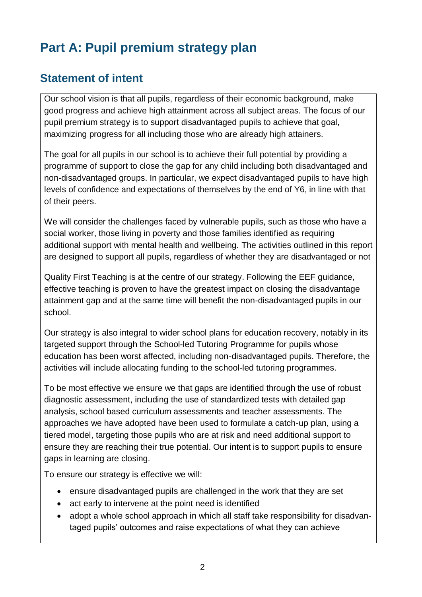# **Part A: Pupil premium strategy plan**

### **Statement of intent**

Our school vision is that all pupils, regardless of their economic background, make good progress and achieve high attainment across all subject areas. The focus of our pupil premium strategy is to support disadvantaged pupils to achieve that goal, maximizing progress for all including those who are already high attainers.

The goal for all pupils in our school is to achieve their full potential by providing a programme of support to close the gap for any child including both disadvantaged and non-disadvantaged groups. In particular, we expect disadvantaged pupils to have high levels of confidence and expectations of themselves by the end of Y6, in line with that of their peers.

We will consider the challenges faced by vulnerable pupils, such as those who have a social worker, those living in poverty and those families identified as requiring additional support with mental health and wellbeing. The activities outlined in this report are designed to support all pupils, regardless of whether they are disadvantaged or not

Quality First Teaching is at the centre of our strategy. Following the EEF guidance, effective teaching is proven to have the greatest impact on closing the disadvantage attainment gap and at the same time will benefit the non-disadvantaged pupils in our school.

Our strategy is also integral to wider school plans for education recovery, notably in its targeted support through the School-led Tutoring Programme for pupils whose education has been worst affected, including non-disadvantaged pupils. Therefore, the activities will include allocating funding to the school-led tutoring programmes.

To be most effective we ensure we that gaps are identified through the use of robust diagnostic assessment, including the use of standardized tests with detailed gap analysis, school based curriculum assessments and teacher assessments. The approaches we have adopted have been used to formulate a catch-up plan, using a tiered model, targeting those pupils who are at risk and need additional support to ensure they are reaching their true potential. Our intent is to support pupils to ensure gaps in learning are closing.

To ensure our strategy is effective we will:

- ensure disadvantaged pupils are challenged in the work that they are set
- act early to intervene at the point need is identified
- adopt a whole school approach in which all staff take responsibility for disadvantaged pupils' outcomes and raise expectations of what they can achieve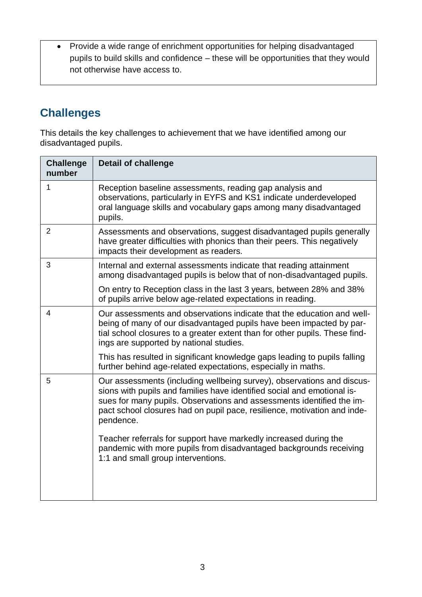• Provide a wide range of enrichment opportunities for helping disadvantaged pupils to build skills and confidence – these will be opportunities that they would not otherwise have access to.

### **Challenges**

This details the key challenges to achievement that we have identified among our disadvantaged pupils.

| <b>Challenge</b><br>number | <b>Detail of challenge</b>                                                                                                                                                                                                                                                                                          |
|----------------------------|---------------------------------------------------------------------------------------------------------------------------------------------------------------------------------------------------------------------------------------------------------------------------------------------------------------------|
| 1                          | Reception baseline assessments, reading gap analysis and<br>observations, particularly in EYFS and KS1 indicate underdeveloped<br>oral language skills and vocabulary gaps among many disadvantaged<br>pupils.                                                                                                      |
| $\overline{2}$             | Assessments and observations, suggest disadvantaged pupils generally<br>have greater difficulties with phonics than their peers. This negatively<br>impacts their development as readers.                                                                                                                           |
| 3                          | Internal and external assessments indicate that reading attainment<br>among disadvantaged pupils is below that of non-disadvantaged pupils.                                                                                                                                                                         |
|                            | On entry to Reception class in the last 3 years, between 28% and 38%<br>of pupils arrive below age-related expectations in reading.                                                                                                                                                                                 |
| 4                          | Our assessments and observations indicate that the education and well-<br>being of many of our disadvantaged pupils have been impacted by par-<br>tial school closures to a greater extent than for other pupils. These find-<br>ings are supported by national studies.                                            |
|                            | This has resulted in significant knowledge gaps leading to pupils falling<br>further behind age-related expectations, especially in maths.                                                                                                                                                                          |
| 5                          | Our assessments (including wellbeing survey), observations and discus-<br>sions with pupils and families have identified social and emotional is-<br>sues for many pupils. Observations and assessments identified the im-<br>pact school closures had on pupil pace, resilience, motivation and inde-<br>pendence. |
|                            | Teacher referrals for support have markedly increased during the<br>pandemic with more pupils from disadvantaged backgrounds receiving<br>1:1 and small group interventions.                                                                                                                                        |
|                            |                                                                                                                                                                                                                                                                                                                     |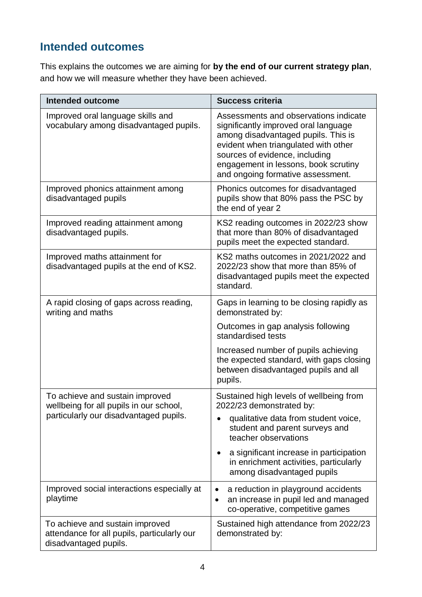### **Intended outcomes**

This explains the outcomes we are aiming for **by the end of our current strategy plan**, and how we will measure whether they have been achieved.

| <b>Intended outcome</b>                                                                                 | <b>Success criteria</b>                                                                                                                                                                                                                                                     |
|---------------------------------------------------------------------------------------------------------|-----------------------------------------------------------------------------------------------------------------------------------------------------------------------------------------------------------------------------------------------------------------------------|
| Improved oral language skills and<br>vocabulary among disadvantaged pupils.                             | Assessments and observations indicate<br>significantly improved oral language<br>among disadvantaged pupils. This is<br>evident when triangulated with other<br>sources of evidence, including<br>engagement in lessons, book scrutiny<br>and ongoing formative assessment. |
| Improved phonics attainment among<br>disadvantaged pupils                                               | Phonics outcomes for disadvantaged<br>pupils show that 80% pass the PSC by<br>the end of year 2                                                                                                                                                                             |
| Improved reading attainment among<br>disadvantaged pupils.                                              | KS2 reading outcomes in 2022/23 show<br>that more than 80% of disadvantaged<br>pupils meet the expected standard.                                                                                                                                                           |
| Improved maths attainment for<br>disadvantaged pupils at the end of KS2.                                | KS2 maths outcomes in 2021/2022 and<br>2022/23 show that more than 85% of<br>disadvantaged pupils meet the expected<br>standard.                                                                                                                                            |
| A rapid closing of gaps across reading,<br>writing and maths                                            | Gaps in learning to be closing rapidly as<br>demonstrated by:                                                                                                                                                                                                               |
|                                                                                                         | Outcomes in gap analysis following<br>standardised tests                                                                                                                                                                                                                    |
|                                                                                                         | Increased number of pupils achieving<br>the expected standard, with gaps closing<br>between disadvantaged pupils and all<br>pupils.                                                                                                                                         |
| To achieve and sustain improved<br>wellbeing for all pupils in our school,                              | Sustained high levels of wellbeing from<br>2022/23 demonstrated by:                                                                                                                                                                                                         |
| particularly our disadvantaged pupils.                                                                  | qualitative data from student voice,<br>student and parent surveys and<br>teacher observations                                                                                                                                                                              |
|                                                                                                         | a significant increase in participation<br>in enrichment activities, particularly<br>among disadvantaged pupils                                                                                                                                                             |
| Improved social interactions especially at<br>playtime                                                  | a reduction in playground accidents<br>٠<br>an increase in pupil led and managed<br>$\bullet$<br>co-operative, competitive games                                                                                                                                            |
| To achieve and sustain improved<br>attendance for all pupils, particularly our<br>disadvantaged pupils. | Sustained high attendance from 2022/23<br>demonstrated by:                                                                                                                                                                                                                  |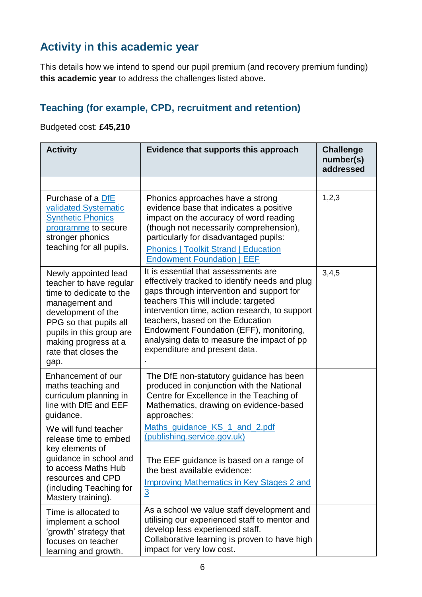# **Activity in this academic year**

This details how we intend to spend our pupil premium (and recovery premium funding) **this academic year** to address the challenges listed above.

#### **Teaching (for example, CPD, recruitment and retention)**

#### Budgeted cost: **£45,210**

| <b>Activity</b>                                                                                                                                                                                                                  | Evidence that supports this approach                                                                                                                                                                                                                                                                                                                                                        | <b>Challenge</b><br>number(s)<br>addressed |
|----------------------------------------------------------------------------------------------------------------------------------------------------------------------------------------------------------------------------------|---------------------------------------------------------------------------------------------------------------------------------------------------------------------------------------------------------------------------------------------------------------------------------------------------------------------------------------------------------------------------------------------|--------------------------------------------|
|                                                                                                                                                                                                                                  |                                                                                                                                                                                                                                                                                                                                                                                             |                                            |
| Purchase of a DfE<br>validated Systematic<br><b>Synthetic Phonics</b><br>programme to secure<br>stronger phonics<br>teaching for all pupils.                                                                                     | Phonics approaches have a strong<br>evidence base that indicates a positive<br>impact on the accuracy of word reading<br>(though not necessarily comprehension),<br>particularly for disadvantaged pupils:<br><b>Phonics   Toolkit Strand   Education</b><br><b>Endowment Foundation   EEF</b>                                                                                              | 1,2,3                                      |
| Newly appointed lead<br>teacher to have regular<br>time to dedicate to the<br>management and<br>development of the<br>PPG so that pupils all<br>pupils in this group are<br>making progress at a<br>rate that closes the<br>gap. | It is essential that assessments are<br>effectively tracked to identify needs and plug<br>gaps through intervention and support for<br>teachers This will include: targeted<br>intervention time, action research, to support<br>teachers, based on the Education<br>Endowment Foundation (EFF), monitoring,<br>analysing data to measure the impact of pp<br>expenditure and present data. | 3,4,5                                      |
| Enhancement of our<br>maths teaching and<br>curriculum planning in<br>line with DfE and EEF<br>guidance.                                                                                                                         | The DfE non-statutory guidance has been<br>produced in conjunction with the National<br>Centre for Excellence in the Teaching of<br>Mathematics, drawing on evidence-based<br>approaches:                                                                                                                                                                                                   |                                            |
| We will fund teacher<br>release time to embed<br>key elements of<br>guidance in school and<br>to access Maths Hub<br>resources and CPD<br>(including Teaching for<br>Mastery training).                                          | Maths guidance KS 1 and 2.pdf<br>(publishing.service.gov.uk)<br>The EEF guidance is based on a range of<br>the best available evidence:<br><b>Improving Mathematics in Key Stages 2 and</b><br>$\overline{3}$                                                                                                                                                                               |                                            |
| Time is allocated to<br>implement a school<br>'growth' strategy that<br>focuses on teacher<br>learning and growth.                                                                                                               | As a school we value staff development and<br>utilising our experienced staff to mentor and<br>develop less experienced staff.<br>Collaborative learning is proven to have high<br>impact for very low cost.                                                                                                                                                                                |                                            |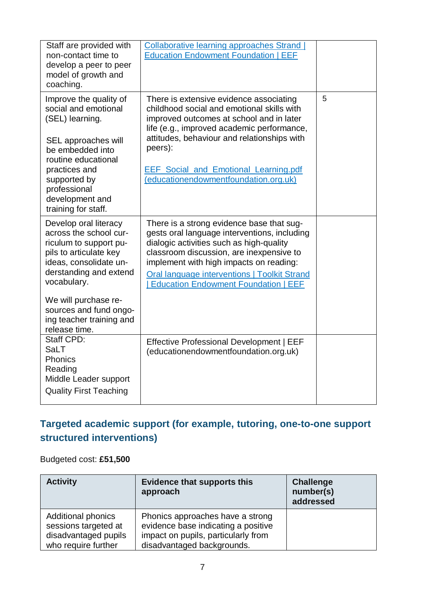| Staff are provided with<br>non-contact time to<br>develop a peer to peer<br>model of growth and<br>coaching.                                                                                                                                                          | <b>Collaborative learning approaches Strand</b><br><b>Education Endowment Foundation   EEF</b>                                                                                                                                                                                                                                     |   |
|-----------------------------------------------------------------------------------------------------------------------------------------------------------------------------------------------------------------------------------------------------------------------|------------------------------------------------------------------------------------------------------------------------------------------------------------------------------------------------------------------------------------------------------------------------------------------------------------------------------------|---|
| Improve the quality of<br>social and emotional<br>(SEL) learning.<br>SEL approaches will<br>be embedded into<br>routine educational<br>practices and<br>supported by<br>professional<br>development and<br>training for staff.                                        | There is extensive evidence associating<br>childhood social and emotional skills with<br>improved outcomes at school and in later<br>life (e.g., improved academic performance,<br>attitudes, behaviour and relationships with<br>peers):<br><b>EEF Social and Emotional Learning.pdf</b><br>(educationendowmentfoundation.org.uk) | 5 |
| Develop oral literacy<br>across the school cur-<br>riculum to support pu-<br>pils to articulate key<br>ideas, consolidate un-<br>derstanding and extend<br>vocabulary.<br>We will purchase re-<br>sources and fund ongo-<br>ing teacher training and<br>release time. | There is a strong evidence base that sug-<br>gests oral language interventions, including<br>dialogic activities such as high-quality<br>classroom discussion, are inexpensive to<br>implement with high impacts on reading:<br><b>Oral language interventions   Toolkit Strand</b><br><b>Education Endowment Foundation   EEF</b> |   |
| Staff CPD:<br>SaLT<br><b>Phonics</b><br>Reading<br>Middle Leader support<br><b>Quality First Teaching</b>                                                                                                                                                             | <b>Effective Professional Development   EEF</b><br>(educationendowmentfoundation.org.uk)                                                                                                                                                                                                                                           |   |

#### **Targeted academic support (for example, tutoring, one-to-one support structured interventions)**

Budgeted cost: **£51,500**

| <b>Activity</b>                                                                                  | <b>Evidence that supports this</b><br>approach                                                                                               | <b>Challenge</b><br>number(s)<br>addressed |
|--------------------------------------------------------------------------------------------------|----------------------------------------------------------------------------------------------------------------------------------------------|--------------------------------------------|
| <b>Additional phonics</b><br>sessions targeted at<br>disadvantaged pupils<br>who require further | Phonics approaches have a strong<br>evidence base indicating a positive<br>impact on pupils, particularly from<br>disadvantaged backgrounds. |                                            |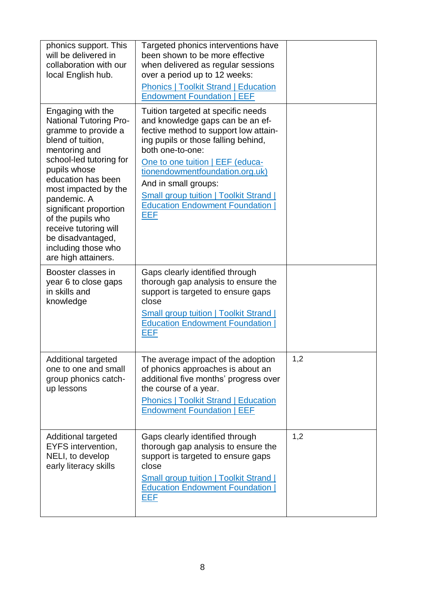| phonics support. This<br>will be delivered in<br>collaboration with our<br>local English hub.                                                                                                                                                                                                                                                                      | Targeted phonics interventions have<br>been shown to be more effective<br>when delivered as regular sessions<br>over a period up to 12 weeks:<br><b>Phonics   Toolkit Strand   Education</b><br><b>Endowment Foundation   EEF</b>                                                                                                                                          |     |
|--------------------------------------------------------------------------------------------------------------------------------------------------------------------------------------------------------------------------------------------------------------------------------------------------------------------------------------------------------------------|----------------------------------------------------------------------------------------------------------------------------------------------------------------------------------------------------------------------------------------------------------------------------------------------------------------------------------------------------------------------------|-----|
| Engaging with the<br><b>National Tutoring Pro-</b><br>gramme to provide a<br>blend of tuition,<br>mentoring and<br>school-led tutoring for<br>pupils whose<br>education has been<br>most impacted by the<br>pandemic. A<br>significant proportion<br>of the pupils who<br>receive tutoring will<br>be disadvantaged,<br>including those who<br>are high attainers. | Tuition targeted at specific needs<br>and knowledge gaps can be an ef-<br>fective method to support low attain-<br>ing pupils or those falling behind,<br>both one-to-one:<br>One to one tuition   EEF (educa-<br>tionendowmentfoundation.org.uk)<br>And in small groups:<br><b>Small group tuition   Toolkit Strand  </b><br><b>Education Endowment Foundation</b><br>EEF |     |
| Booster classes in<br>year 6 to close gaps<br>in skills and<br>knowledge                                                                                                                                                                                                                                                                                           | Gaps clearly identified through<br>thorough gap analysis to ensure the<br>support is targeted to ensure gaps<br>close<br><b>Small group tuition   Toolkit Strand  </b><br><b>Education Endowment Foundation</b><br>EEF                                                                                                                                                     |     |
| <b>Additional targeted</b><br>one to one and small<br>group phonics catch-<br>up lessons                                                                                                                                                                                                                                                                           | The average impact of the adoption<br>of phonics approaches is about an<br>additional five months' progress over<br>the course of a year.<br><b>Phonics   Toolkit Strand   Education</b><br><b>Endowment Foundation   EEF</b>                                                                                                                                              | 1,2 |
| <b>Additional targeted</b><br>EYFS intervention,<br>NELI, to develop<br>early literacy skills                                                                                                                                                                                                                                                                      | Gaps clearly identified through<br>thorough gap analysis to ensure the<br>support is targeted to ensure gaps<br>close<br><b>Small group tuition   Toolkit Strand  </b><br><b>Education Endowment Foundation</b><br>EEF                                                                                                                                                     | 1,2 |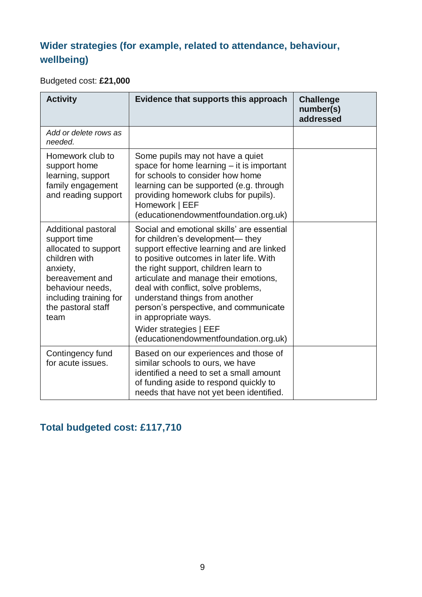#### **Wider strategies (for example, related to attendance, behaviour, wellbeing)**

Budgeted cost: **£21,000**

| <b>Activity</b>                                                                                                                                                                         | Evidence that supports this approach                                                                                                                                                                                                                                                                                                                                                                                                                                  | <b>Challenge</b><br>number(s)<br>addressed |
|-----------------------------------------------------------------------------------------------------------------------------------------------------------------------------------------|-----------------------------------------------------------------------------------------------------------------------------------------------------------------------------------------------------------------------------------------------------------------------------------------------------------------------------------------------------------------------------------------------------------------------------------------------------------------------|--------------------------------------------|
| Add or delete rows as<br>needed.                                                                                                                                                        |                                                                                                                                                                                                                                                                                                                                                                                                                                                                       |                                            |
| Homework club to<br>support home<br>learning, support<br>family engagement<br>and reading support                                                                                       | Some pupils may not have a quiet<br>space for home learning $-$ it is important<br>for schools to consider how home<br>learning can be supported (e.g. through<br>providing homework clubs for pupils).<br>Homework   EEF<br>(educationendowmentfoundation.org.uk)                                                                                                                                                                                                    |                                            |
| Additional pastoral<br>support time<br>allocated to support<br>children with<br>anxiety,<br>bereavement and<br>behaviour needs,<br>including training for<br>the pastoral staff<br>team | Social and emotional skills' are essential<br>for children's development— they<br>support effective learning and are linked<br>to positive outcomes in later life. With<br>the right support, children learn to<br>articulate and manage their emotions,<br>deal with conflict, solve problems,<br>understand things from another<br>person's perspective, and communicate<br>in appropriate ways.<br>Wider strategies   EEF<br>(educationendowmentfoundation.org.uk) |                                            |
| Contingency fund<br>for acute issues.                                                                                                                                                   | Based on our experiences and those of<br>similar schools to ours, we have<br>identified a need to set a small amount<br>of funding aside to respond quickly to<br>needs that have not yet been identified.                                                                                                                                                                                                                                                            |                                            |

#### **Total budgeted cost: £117,710**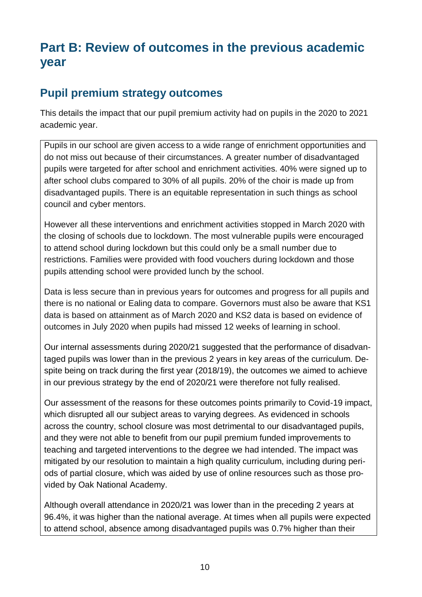# **Part B: Review of outcomes in the previous academic year**

#### **Pupil premium strategy outcomes**

This details the impact that our pupil premium activity had on pupils in the 2020 to 2021 academic year.

Pupils in our school are given access to a wide range of enrichment opportunities and do not miss out because of their circumstances. A greater number of disadvantaged pupils were targeted for after school and enrichment activities. 40% were signed up to after school clubs compared to 30% of all pupils. 20% of the choir is made up from disadvantaged pupils. There is an equitable representation in such things as school council and cyber mentors.

However all these interventions and enrichment activities stopped in March 2020 with the closing of schools due to lockdown. The most vulnerable pupils were encouraged to attend school during lockdown but this could only be a small number due to restrictions. Families were provided with food vouchers during lockdown and those pupils attending school were provided lunch by the school.

Data is less secure than in previous years for outcomes and progress for all pupils and there is no national or Ealing data to compare. Governors must also be aware that KS1 data is based on attainment as of March 2020 and KS2 data is based on evidence of outcomes in July 2020 when pupils had missed 12 weeks of learning in school.

Our internal assessments during 2020/21 suggested that the performance of disadvantaged pupils was lower than in the previous 2 years in key areas of the curriculum. Despite being on track during the first year (2018/19), the outcomes we aimed to achieve in our previous strategy by the end of 2020/21 were therefore not fully realised.

Our assessment of the reasons for these outcomes points primarily to Covid-19 impact, which disrupted all our subject areas to varying degrees. As evidenced in schools across the country, school closure was most detrimental to our disadvantaged pupils, and they were not able to benefit from our pupil premium funded improvements to teaching and targeted interventions to the degree we had intended. The impact was mitigated by our resolution to maintain a high quality curriculum, including during periods of partial closure, which was aided by use of online resources such as those provided by Oak National Academy.

Although overall attendance in 2020/21 was lower than in the preceding 2 years at 96.4%, it was higher than the national average. At times when all pupils were expected to attend school, absence among disadvantaged pupils was 0.7% higher than their